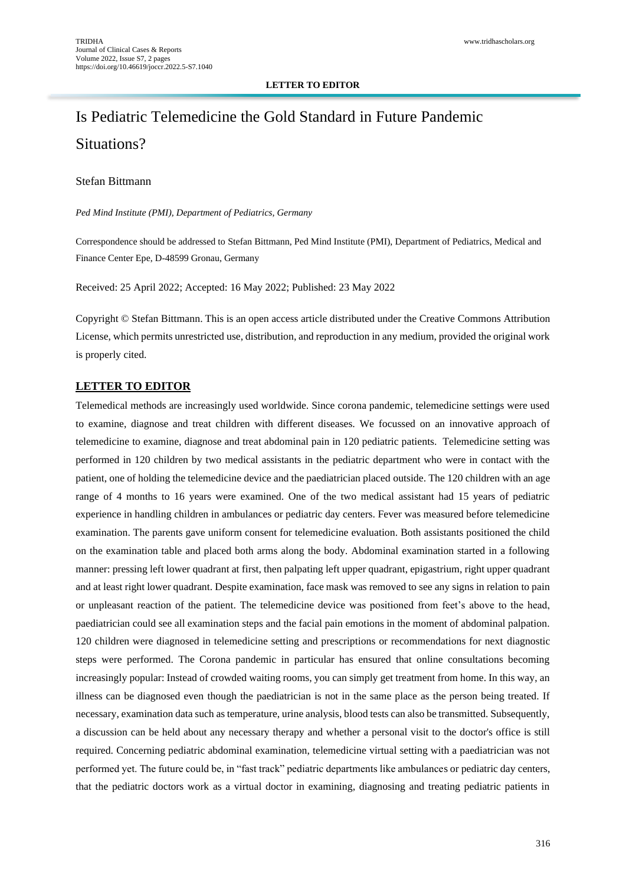#### **LETTER TO EDITOR**

# Is Pediatric Telemedicine the Gold Standard in Future Pandemic Situations?

### Stefan Bittmann

*Ped Mind Institute (PMI), Department of Pediatrics, Germany*

Correspondence should be addressed to Stefan Bittmann, Ped Mind Institute (PMI), Department of Pediatrics, Medical and Finance Center Epe, D-48599 Gronau, Germany

Received: 25 April 2022; Accepted: 16 May 2022; Published: 23 May 2022

Copyright © Stefan Bittmann. This is an open access article distributed under the Creative Commons Attribution License, which permits unrestricted use, distribution, and reproduction in any medium, provided the original work is properly cited.

#### **LETTER TO EDITOR**

Telemedical methods are increasingly used worldwide. Since corona pandemic, telemedicine settings were used to examine, diagnose and treat children with different diseases. We focussed on an innovative approach of telemedicine to examine, diagnose and treat abdominal pain in 120 pediatric patients. Telemedicine setting was performed in 120 children by two medical assistants in the pediatric department who were in contact with the patient, one of holding the telemedicine device and the paediatrician placed outside. The 120 children with an age range of 4 months to 16 years were examined. One of the two medical assistant had 15 years of pediatric experience in handling children in ambulances or pediatric day centers. Fever was measured before telemedicine examination. The parents gave uniform consent for telemedicine evaluation. Both assistants positioned the child on the examination table and placed both arms along the body. Abdominal examination started in a following manner: pressing left lower quadrant at first, then palpating left upper quadrant, epigastrium, right upper quadrant and at least right lower quadrant. Despite examination, face mask was removed to see any signs in relation to pain or unpleasant reaction of the patient. The telemedicine device was positioned from feet's above to the head, paediatrician could see all examination steps and the facial pain emotions in the moment of abdominal palpation. 120 children were diagnosed in telemedicine setting and prescriptions or recommendations for next diagnostic steps were performed. The Corona pandemic in particular has ensured that online consultations becoming increasingly popular: Instead of crowded waiting rooms, you can simply get treatment from home. In this way, an illness can be diagnosed even though the paediatrician is not in the same place as the person being treated. If necessary, examination data such as temperature, urine analysis, blood tests can also be transmitted. Subsequently, a discussion can be held about any necessary therapy and whether a personal visit to the doctor's office is still required. Concerning pediatric abdominal examination, telemedicine virtual setting with a paediatrician was not performed yet. The future could be, in "fast track" pediatric departments like ambulances or pediatric day centers, that the pediatric doctors work as a virtual doctor in examining, diagnosing and treating pediatric patients in